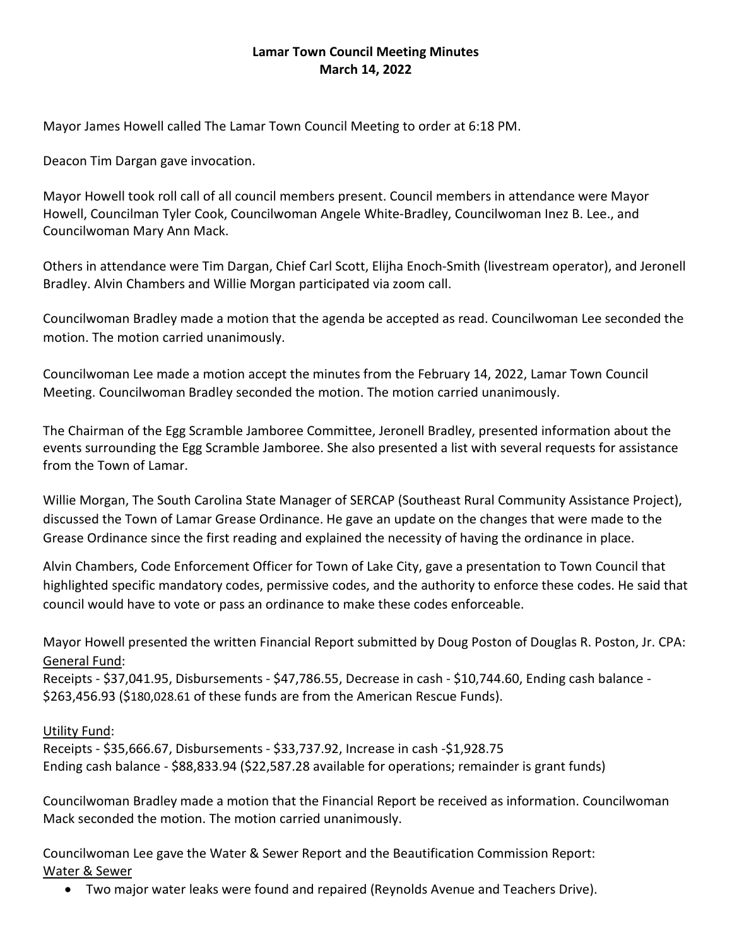## **Lamar Town Council Meeting Minutes March 14, 2022**

Mayor James Howell called The Lamar Town Council Meeting to order at 6:18 PM.

Deacon Tim Dargan gave invocation.

Mayor Howell took roll call of all council members present. Council members in attendance were Mayor Howell, Councilman Tyler Cook, Councilwoman Angele White-Bradley, Councilwoman Inez B. Lee., and Councilwoman Mary Ann Mack.

Others in attendance were Tim Dargan, Chief Carl Scott, Elijha Enoch-Smith (livestream operator), and Jeronell Bradley. Alvin Chambers and Willie Morgan participated via zoom call.

Councilwoman Bradley made a motion that the agenda be accepted as read. Councilwoman Lee seconded the motion. The motion carried unanimously.

Councilwoman Lee made a motion accept the minutes from the February 14, 2022, Lamar Town Council Meeting. Councilwoman Bradley seconded the motion. The motion carried unanimously.

The Chairman of the Egg Scramble Jamboree Committee, Jeronell Bradley, presented information about the events surrounding the Egg Scramble Jamboree. She also presented a list with several requests for assistance from the Town of Lamar.

Willie Morgan, The South Carolina State Manager of SERCAP (Southeast Rural Community Assistance Project), discussed the Town of Lamar Grease Ordinance. He gave an update on the changes that were made to the Grease Ordinance since the first reading and explained the necessity of having the ordinance in place.

Alvin Chambers, Code Enforcement Officer for Town of Lake City, gave a presentation to Town Council that highlighted specific mandatory codes, permissive codes, and the authority to enforce these codes. He said that council would have to vote or pass an ordinance to make these codes enforceable.

Mayor Howell presented the written Financial Report submitted by Doug Poston of Douglas R. Poston, Jr. CPA: General Fund:

Receipts - \$37,041.95, Disbursements - \$47,786.55, Decrease in cash - \$10,744.60, Ending cash balance -\$263,456.93 (\$180,028.61 of these funds are from the American Rescue Funds).

## Utility Fund:

Receipts - \$35,666.67, Disbursements - \$33,737.92, Increase in cash -\$1,928.75 Ending cash balance - \$88,833.94 (\$22,587.28 available for operations; remainder is grant funds)

Councilwoman Bradley made a motion that the Financial Report be received as information. Councilwoman Mack seconded the motion. The motion carried unanimously.

Councilwoman Lee gave the Water & Sewer Report and the Beautification Commission Report: Water & Sewer

• Two major water leaks were found and repaired (Reynolds Avenue and Teachers Drive).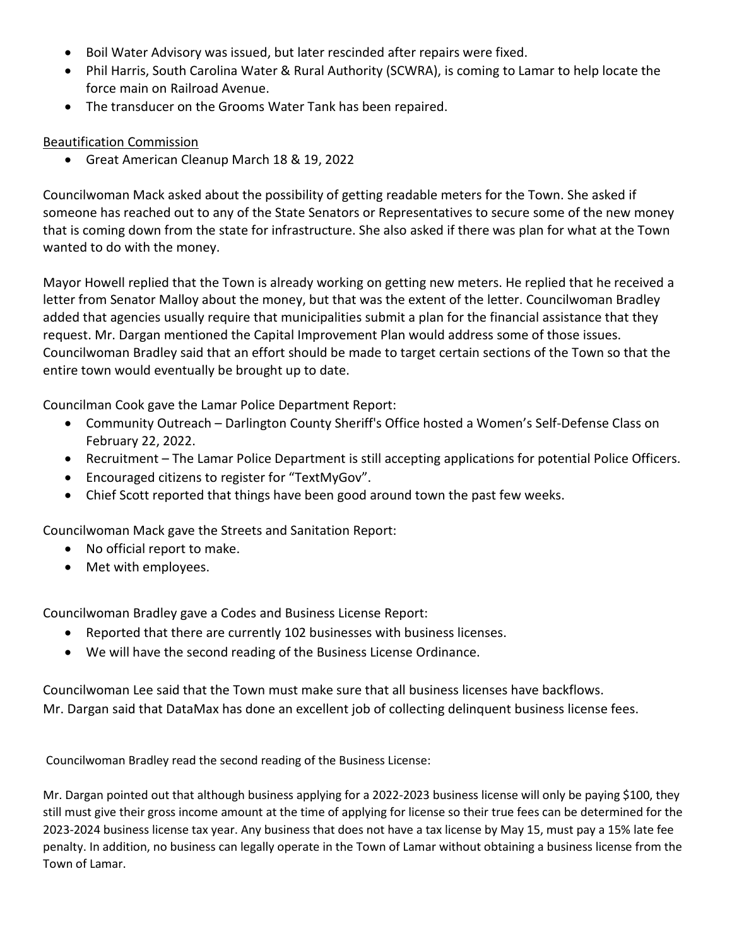- Boil Water Advisory was issued, but later rescinded after repairs were fixed.
- Phil Harris, South Carolina Water & Rural Authority (SCWRA), is coming to Lamar to help locate the force main on Railroad Avenue.
- The transducer on the Grooms Water Tank has been repaired.

## Beautification Commission

• Great American Cleanup March 18 & 19, 2022

Councilwoman Mack asked about the possibility of getting readable meters for the Town. She asked if someone has reached out to any of the State Senators or Representatives to secure some of the new money that is coming down from the state for infrastructure. She also asked if there was plan for what at the Town wanted to do with the money.

Mayor Howell replied that the Town is already working on getting new meters. He replied that he received a letter from Senator Malloy about the money, but that was the extent of the letter. Councilwoman Bradley added that agencies usually require that municipalities submit a plan for the financial assistance that they request. Mr. Dargan mentioned the Capital Improvement Plan would address some of those issues. Councilwoman Bradley said that an effort should be made to target certain sections of the Town so that the entire town would eventually be brought up to date.

Councilman Cook gave the Lamar Police Department Report:

- Community Outreach Darlington County Sheriff's Office hosted a Women's Self-Defense Class on February 22, 2022.
- Recruitment The Lamar Police Department is still accepting applications for potential Police Officers.
- Encouraged citizens to register for "TextMyGov".
- Chief Scott reported that things have been good around town the past few weeks.

Councilwoman Mack gave the Streets and Sanitation Report:

- No official report to make.
- Met with employees.

Councilwoman Bradley gave a Codes and Business License Report:

- Reported that there are currently 102 businesses with business licenses.
- We will have the second reading of the Business License Ordinance.

Councilwoman Lee said that the Town must make sure that all business licenses have backflows. Mr. Dargan said that DataMax has done an excellent job of collecting delinquent business license fees.

Councilwoman Bradley read the second reading of the Business License:

Mr. Dargan pointed out that although business applying for a 2022-2023 business license will only be paying \$100, they still must give their gross income amount at the time of applying for license so their true fees can be determined for the 2023-2024 business license tax year. Any business that does not have a tax license by May 15, must pay a 15% late fee penalty. In addition, no business can legally operate in the Town of Lamar without obtaining a business license from the Town of Lamar.